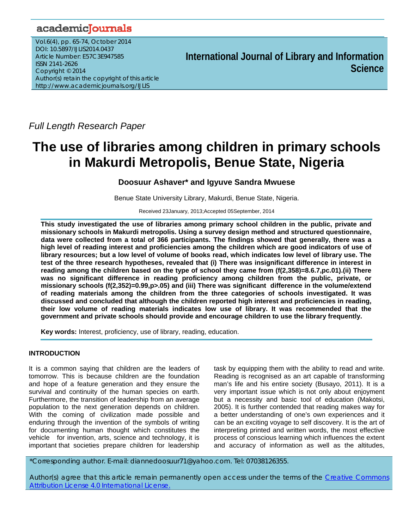## academicJournals

Vol.6(4), pp. 65-74, October 2014 DOI: 10.5897/IJLIS2014.0437 Article Number: E57C3E947585 ISSN 2141-2626 Copyright © 2014 Author(s) retain the copyright of this article http://www.academicjournals.org/IJLIS

**International Journal of Library and Information Science**

*Full Length Research Paper* 

# **The use of libraries among children in primary schools in Makurdi Metropolis, Benue State, Nigeria**

## **Doosuur Ashaver\* and Igyuve Sandra Mwuese**

Benue State University Library, Makurdi, Benue State, Nigeria.

Received 23January, 2013;Accepted 05September, 2014

**This study investigated the use of libraries among primary school children in the public, private and missionary schools in Makurdi metropolis. Using a survey design method and structured questionnaire, data were collected from a total of 366 participants. The findings showed that generally, there was a high level of reading interest and proficiencies among the children which are good indicators of use of library resources; but a low level of volume of books read, which indicates low level of library use. The test of the three research hypotheses, revealed that (i) There was insignificant difference in interest in reading among the children based on the type of school they came from (f(2,358)=8.6.7,pc.01).(ii) There was no significant difference in reading proficiency among children from the public, private, or missionary schools (f(2,352)=0.99,p>.05) and (iii) There was significant difference in the volume/extend of reading materials among the children from the three categories of schools investigated. It was discussed and concluded that although the children reported high interest and proficiencies in reading, their low volume of reading materials indicates low use of library. It was recommended that the government and private schools should provide and encourage children to use the library frequently.** 

**Key words:** Interest, proficiency, use of library, reading, education.

## **INTRODUCTION**

It is a common saying that children are the leaders of tomorrow. This is because children are the foundation and hope of a feature generation and they ensure the survival and continuity of the human species on earth. Furthermore, the transition of leadership from an average population to the next generation depends on children. With the coming of civilization made possible and enduring through the invention of the symbols of writing for documenting human thought which constitutes the vehicle for invention, arts, science and technology, it is important that societies prepare children for leadership

task by equipping them with the ability to read and write. Reading is recognised as an art capable of transforming man's life and his entire society (Busayo, 2011). It is a very important issue which is not only about enjoyment but a necessity and basic tool of education (Makotsi, 2005). It is further contended that reading makes way for a better understanding of one's own experiences and it can be an exciting voyage to self discovery. It is the art of interpreting printed and written words, the most effective process of conscious learning which influences the extent and accuracy of information as well as the altitudes,

\*Corresponding author. E-mail: diannedoosuur71@yahoo.com. Tel: 07038126355.

Author(s) agree that this article remain permanently open access under the terms of the Creative Commons Attribution License 4.0 International License.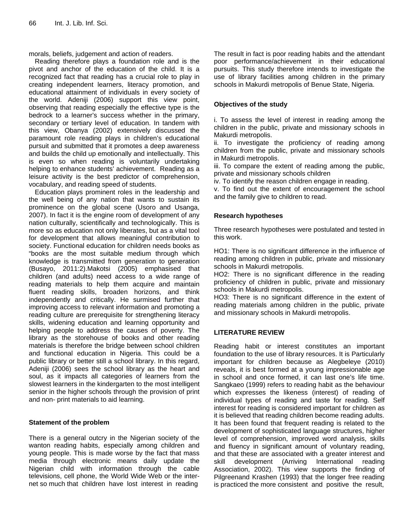morals, beliefs, judgement and action of readers.

Reading therefore plays a foundation role and is the pivot and anchor of the education of the child. It is a recognized fact that reading has a crucial role to play in creating independent learners, literacy promotion, and educational attainment of individuals in every society of the world. Adeniji (2006) support this view point, observing that reading especially the effective type is the bedrock to a learner's success whether in the primary, secondary or tertiary level of education. In tandem with this view, Obanya (2002) extensively discussed the paramount role reading plays in children's educational pursuit and submitted that it promotes a deep awareness and builds the child up emotionally and intellectually. This is even so when reading is voluntarily undertaking helping to enhance students' achievement. Reading as a leisure activity is the best predictor of comprehension, vocabulary, and reading speed of students.

Education plays prominent roles in the leadership and the well being of any nation that wants to sustain its prominence on the global scene (Usoro and Usanga, 2007). In fact it is the engine room of development of any nation culturally, scientifically and technologically. This is more so as education not only liberates, but as a vital tool for development that allows meaningful contribution to society. Functional education for children needs books as "books are the most suitable medium through which knowledge is transmitted from generation to generation (Busayo, 2011:2).Makotsi (2005) emphasised that children (and adults) need access to a wide range of reading materials to help them acquire and maintain fluent reading skills, broaden horizons, and think independently and critically. He surmised further that improving access to relevant information and promoting a reading culture are prerequisite for strengthening literacy skills, widening education and learning opportunity and helping people to address the causes of poverty. The library as the storehouse of books and other reading materials is therefore the bridge between school children and functional education in Nigeria. This could be a public library or better still a school library. In this regard, Adeniji (2006) sees the school library as the heart and soul, as it impacts all categories of learners from the slowest learners in the kindergarten to the most intelligent senior in the higher schools through the provision of print and non- print materials to aid learning.

## **Statement of the problem**

There is a general outcry in the Nigerian society of the wanton reading habits, especially among children and young people. This is made worse by the fact that mass media through electronic means daily update the Nigerian child with information through the cable televisions, cell phone, the World Wide Web or the internet so much that children have lost interest in reading

The result in fact is poor reading habits and the attendant poor performance/achievement in their educational pursuits. This study therefore intends to investigate the use of library facilities among children in the primary schools in Makurdi metropolis of Benue State, Nigeria.

## **Objectives of the study**

i. To assess the level of interest in reading among the children in the public, private and missionary schools in Makurdi metropolis.

ii. To investigate the proficiency of reading among children from the public, private and missionary schools in Makurdi metropolis.

iii. To compare the extent of reading among the public, private and missionary schools children

iv. To identify the reason children engage in reading.

v. To find out the extent of encouragement the school and the family give to children to read.

## **Research hypotheses**

Three research hypotheses were postulated and tested in this work.

HO1: There is no significant difference in the influence of reading among children in public, private and missionary schools in Makurdi metropolis.

HO2: There is no significant difference in the reading proficiency of children in public, private and missionary schools in Makurdi metropolis.

HO3: There is no significant difference in the extent of reading materials among children in the public, private and missionary schools in Makurdi metropolis.

## **LITERATURE REVIEW**

Reading habit or interest constitutes an important foundation to the use of library resources. It is Particularly important for children because as Alegbeleye (2010) reveals, it is best formed at a young impressionable age in school and once formed, it can last one's life time. Sangkaeo (1999) refers to reading habit as the behaviour which expresses the likeness (interest) of reading of individual types of reading and taste for reading. Self interest for reading is considered important for children as it is believed that reading children become reading adults. It has been found that frequent reading is related to the development of sophisticated language structures, higher level of comprehension, improved word analysis, skills and fluency in significant amount of voluntary reading, and that these are associated with a greater interest and skill development (Arriving International reading Association, 2002). This view supports the finding of Pilgreenand Krashen (1993) that the longer free reading is practiced the more consistent and positive the result,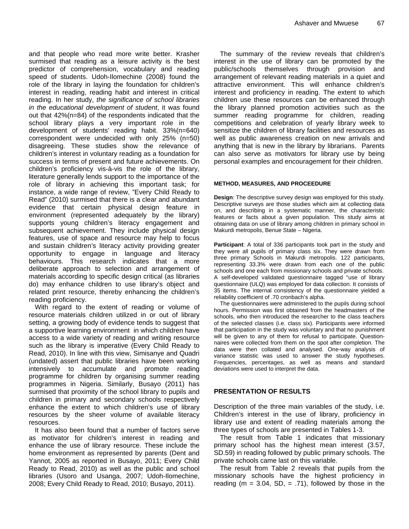and that people who read more write better. Krasher surmised that reading as a leisure activity is the best predictor of comprehension, vocabulary and reading speed of students. Udoh-Ilomechine (2008) found the role of the library in laying the foundation for children's interest in reading, reading habit and interest in critical reading. In her study, *the significance of school libraries in the educational development of student*, it was found out that 42%(n=84) of the respondents indicated that the school library plays a very important role in the development of students' reading habit. 33%(n=640) correspondent were undecided with only 25% (n=50) disagreeing. These studies show the relevance of children's interest in voluntary reading as a foundation for success in terms of present and future achievements. On children's proficiency vis-à-vis the role of the library, literature generally lends support to the importance of the role of library in achieving this important task; for instance, a wide range of review, "Every Child Ready to Read" (2010) surmised that there is a clear and abundant evidence that certain physical design feature in environment (represented adequately by the library) supports young children's literacy engagement and subsequent achievement. They include physical design features, use of space and resource may help to focus and sustain children's literacy activity providing greater opportunity to engage in language and literacy behaviours. This research indicates that a more deliberate approach to selection and arrangement of materials according to specific design critical (as libraries do) may enhance children to use library's object and related print resource, thereby enhancing the children's reading proficiency.

With regard to the extent of reading or volume of resource materials children utilized in or out of library setting, a growing body of evidence tends to suggest that a supportive learning environment in which children have access to a wide variety of reading and writing resource such as the library is imperative (Every Child Ready to Read, 2010). In line with this view, Simisanye and Quadri (undated) assert that public libraries have been working intensively to accumulate and promote reading programme for children by organising summer reading programmes in Nigeria. Similarly, Busayo (2011) has surmised that proximity of the school library to pupils and children in primary and secondary schools respectively enhance the extent to which children's use of library resources by the sheer volume of available literacy resources.

It has also been found that a number of factors serve as motivator for children's interest in reading and enhance the use of library resource. These include the home environment as represented by parents (Dent and Yannot, 2005 as reported in Busayo, 2011; Every Child Ready to Read, 2010) as well as the public and school libraries (Usoro and Usanga, 2007; Udoh-Ilomechine, 2008; Every Child Ready to Read, 2010; Busayo, 2011).

The summary of the review reveals that children's interest in the use of library can be promoted by the public/schools themselves through provision and arrangement of relevant reading materials in a quiet and attractive environment. This will enhance children's interest and proficiency in reading. The extent to which children use these resources can be enhanced through the library planned promotion activities such as the summer reading programme for children, reading competitions and celebration of yearly library week to sensitize the children of library facilities and resources as well as public awareness creation on new arrivals and anything that is new in the library by librarians. Parents can also serve as motivators for library use by being personal examples and encouragement for their children.

#### **METHOD, MEASURES, AND PROCEEDURE**

**Design**: The descriptive survey design was employed for this study. Descriptive surveys are those studies which aim at collecting data on, and describing in a systematic manner, the characteristic features or facts about a given population. This study aims at obtaining data on use of library among children in primary school in Makurdi metropolis, Benue State – Nigeria.

**Participant**: A total of 336 participants took part in the study and they were all pupils of primary class six. They were drawn from three primary Schools in Makurdi metropolis. 122 participants, representing 33.3% were drawn from each one of the public schools and one each from missionary schools and private schools. A self-developed validated questionnaire tagged "use of library questionnaire (ULQ) was employed for data collection. It consists of 35 items. The internal consistency of the questionnaire yielded a reliability coefficient of .70 cronbach's alpha.

The questionnaires were administered to the pupils during school hours. Permission was first obtained from the headmasters of the schools, who then introduced the researcher to the class teachers of the selected classes (i.e. class six). Participants were informed that participation in the study was voluntary and that no punishment will be given to any of them for refusal to participate. Questionnaires were collected from them on the spot after completion. The data were then collated and analysed. One-way analysis of variance statistic was used to answer the study hypotheses. Frequencies, percentages, as well as means and standard deviations were used to interpret the data.

#### **PRESENTATION OF RESULTS**

Description of the three main variables of the study, i.e. Children's interest in the use of library, proficiency in library use and extent of reading materials among the three types of schools are presented in Tables 1-3.

The result from Table 1 indicates that missionary primary school has the highest mean interest (3.57, SD.59) in reading followed by public primary schools. The private schools came last on this variable.

The result from Table 2 reveals that pupils from the missionary schools have the highest proficiency in reading ( $m = 3.04$ , SD,  $= .71$ ), followed by those in the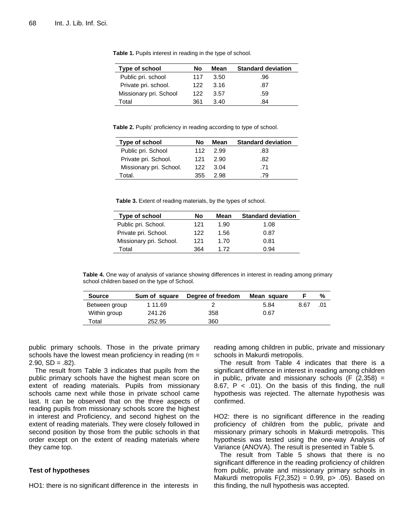| Type of school         | No  | Mean | <b>Standard deviation</b> |
|------------------------|-----|------|---------------------------|
| Public pri. school     | 117 | 3.50 | .96                       |
| Private pri. school.   | 122 | 3.16 | .87                       |
| Missionary pri. School | 122 | 3.57 | .59                       |
| Total                  | 361 | 3.40 | 84                        |

**Table 1.** Pupils interest in reading in the type of school.

**Table 2.** Pupils' proficiency in reading according to type of school.

| Type of school          | No   | Mean   | <b>Standard deviation</b> |
|-------------------------|------|--------|---------------------------|
| Public pri. School      | 112. | - 2.99 | .83                       |
| Private pri. School.    | 121  | 2.90   | .82                       |
| Missionary pri. School. | 122  | 3.04   | .71                       |
| Total.                  | 355  | 2.98   | .79                       |

**Table 3.** Extent of reading materials, by the types of school.

| Type of school          | Nο  | Mean | <b>Standard deviation</b> |
|-------------------------|-----|------|---------------------------|
| Public pri. School.     | 121 | 1.90 | 1.08                      |
| Private pri. School.    | 122 | 1.56 | 0.87                      |
| Missionary pri. School. | 121 | 1.70 | 0.81                      |
| Total                   | 364 | 172  | 0.94                      |

**Table 4.** One way of analysis of variance showing differences in interest in reading among primary school children based on the type of School.

| <b>Source</b> | Sum of square | Degree of freedom | Mean square |      | %   |
|---------------|---------------|-------------------|-------------|------|-----|
| Between group | 1 11.69       |                   | 5.84        | 8.67 | .01 |
| Within group  | 241.26        | 358               | 0.67        |      |     |
| ™otal         | 252.95        | 360               |             |      |     |

public primary schools. Those in the private primary schools have the lowest mean proficiency in reading ( $m =$  $2.90. SD = .82$ ).

The result from Table 3 indicates that pupils from the public primary schools have the highest mean score on extent of reading materials. Pupils from missionary schools came next while those in private school came last. It can be observed that on the three aspects of reading pupils from missionary schools score the highest in interest and Proficiency, and second highest on the extent of reading materials. They were closely followed in second position by those from the public schools in that order except on the extent of reading materials where they came top.

#### **Test of hypotheses**

HO1: there is no significant difference in the interests in

reading among children in public, private and missionary schools in Makurdi metropolis.

The result from Table 4 indicates that there is a significant difference in interest in reading among children in public, private and missionary schools  $(F (2,358) =$ 8.67,  $P < .01$ ). On the basis of this finding, the null hypothesis was rejected. The alternate hypothesis was confirmed.

HO2: there is no significant difference in the reading proficiency of children from the public, private and missionary primary schools in Makurdi metropolis. This hypothesis was tested using the one-way Analysis of Variance (ANOVA). The result is presented in Table 5.

The result from Table 5 shows that there is no significant difference in the reading proficiency of children from public, private and missionary primary schools in Makurdi metropolis  $F(2,352) = 0.99$ , p $> 0.05$ ). Based on this finding, the null hypothesis was accepted.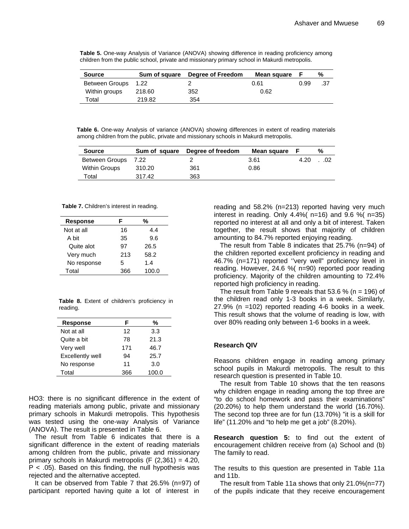**Table 5.** One-way Analysis of Variance (ANOVA) showing difference in reading proficiency among children from the public school, private and missionary primary school in Makurdi metropolis.

| <b>Source</b>       |        | Sum of square Degree of Freedom | Mean square |      | %   |
|---------------------|--------|---------------------------------|-------------|------|-----|
| Between Groups 1.22 |        |                                 | 0.61        | 0.99 | .37 |
| Within groups       | 218.60 | 352                             | 0.62        |      |     |
| Total               | 219.82 | 354                             |             |      |     |

**Table 6.** One-way Analysis of variance (ANOVA) showing differences in extent of reading materials among children from the public, private and missionary schools in Makurdi metropolis.

| <b>Source</b>        |        | Sum of square Degree of freedom | Mean square |      | %     |
|----------------------|--------|---------------------------------|-------------|------|-------|
| Between Groups 7.22  |        |                                 | 3.61        | 4.20 | . .02 |
| <b>Within Groups</b> | 310.20 | 361                             | 0.86        |      |       |
| Total                | 317.42 | 363                             |             |      |       |

**Table 7.** Children's interest in reading.

| Response    | F   | %     |
|-------------|-----|-------|
| Not at all  | 16  | 4.4   |
| A bit       | 35  | 9.6   |
| Quite alot  | 97  | 26.5  |
| Very much   | 213 | 58.2  |
| No response | 5   | 1.4   |
| Total       | 366 | 100.0 |

**Table 8.** Extent of children's proficiency in reading.

| Response         | F   | %     |
|------------------|-----|-------|
| Not at all       | 12  | 3.3   |
| Quite a bit      | 78  | 21.3  |
| Very well        | 171 | 46.7  |
| Excellently well | 94  | 25.7  |
| No response      | 11  | 3.0   |
| Total            | 366 | 100.0 |

HO3: there is no significant difference in the extent of reading materials among public, private and missionary primary schools in Makurdi metropolis. This hypothesis was tested using the one-way Analysis of Variance (ANOVA). The result is presented in Table 6.

The result from Table 6 indicates that there is a significant difference in the extent of reading materials among children from the public, private and missionary primary schools in Makurdi metropolis (F (2,361) = 4.20,  $P < .05$ ). Based on this finding, the null hypothesis was rejected and the alternative accepted.

It can be observed from Table 7 that 26.5% (n=97) of participant reported having quite a lot of interest in reading and 58.2% (n=213) reported having very much interest in reading. Only  $4.4\%$  ( n=16) and  $9.6\%$  ( n=35) reported no interest at all and only a bit of interest. Taken together, the result shows that majority of children amounting to 84.7% reported enjoying reading.

The result from Table 8 indicates that 25.7% (n=94) of the children reported excellent proficiency in reading and 46.7% (n=171) reported ''very well" proficiency level in reading. However, 24.6 %( n=90) reported poor reading proficiency. Majority of the children amounting to 72.4% reported high proficiency in reading.

The result from Table 9 reveals that  $53.6\%$  (n = 196) of the children read only 1-3 books in a week. Similarly, 27.9% (n =102) reported reading 4-6 books in a week. This result shows that the volume of reading is low, with over 80% reading only between 1-6 books in a week.

## **Research QIV**

Reasons children engage in reading among primary school pupils in Makurdi metropolis. The result to this research question is presented in Table 10.

The result from Table 10 shows that the ten reasons why children engage in reading among the top three are "to do school homework and pass their examinations" (20.20%) to help them understand the world (16.70%). The second top three are for fun (13.70%) "it is a skill for life" (11.20% and "to help me get a job" (8.20%).

**Research question 5:** to find out the extent of encouragement children receive from (a) School and (b) The family to read.

The results to this question are presented in Table 11a and 11b.

The result from Table 11a shows that only 21.0%(n=77) of the pupils indicate that they receive encouragement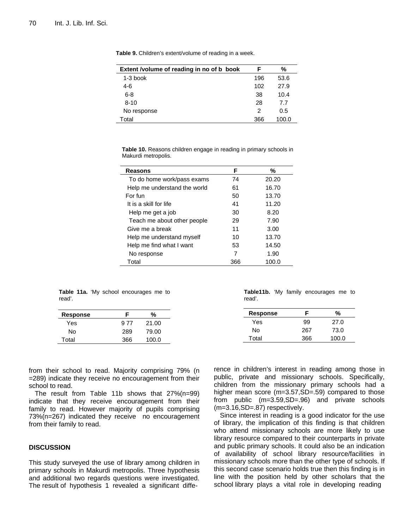| Extent /volume of reading in no of b book | F   | %     |
|-------------------------------------------|-----|-------|
| $1-3$ book                                | 196 | 53.6  |
| 4-6                                       | 102 | 27.9  |
| $6 - 8$                                   | 38  | 10.4  |
| $8 - 10$                                  | 28  | 7.7   |
| No response                               | 2   | 0.5   |
| Total                                     | 366 | 100.0 |

**Table 9.** Children's extent/volume of reading in a week.

**Table 10.** Reasons children engage in reading in primary schools in Makurdi metropolis.

| Reasons                      | F   | %     |
|------------------------------|-----|-------|
| To do home work/pass exams   | 74  | 20.20 |
| Help me understand the world | 61  | 16.70 |
| For fun                      | 50  | 13.70 |
| It is a skill for life       | 41  | 11.20 |
| Help me get a job            | 30  | 8.20  |
| Teach me about other people  | 29  | 7.90  |
| Give me a break              | 11  | 3.00  |
| Help me understand myself    | 10  | 13.70 |
| Help me find what I want     | 53  | 14.50 |
| No response                  | 7   | 1.90  |
| Total                        | 366 | 100.0 |

**Table 11a.** 'My school encourages me to read'.

| F    | %     |
|------|-------|
| 9 77 | 21.00 |
| 289  | 79.00 |
| 366  | 100.0 |
|      |       |

**Table11b.** 'My family encourages me to read'.

| Response | F   | %     |
|----------|-----|-------|
| Yes      | 99  | 27.0  |
| N٥       | 267 | 73.0  |
| Total    | 366 | 100.0 |

from their school to read. Majority comprising 79% (n =289) indicate they receive no encouragement from their school to read.

The result from Table 11b shows that 27%(n=99) indicate that they receive encouragement from their family to read. However majority of pupils comprising 73%(n=267) indicated they receive no encouragement from their family to read.

#### **DISCUSSION**

This study surveyed the use of library among children in primary schools in Makurdi metropolis. Three hypothesis and additional two regards questions were investigated. The result of hypothesis 1 revealed a significant difference in children's interest in reading among those in public, private and missionary schools. Specifically, children from the missionary primary schools had a higher mean score (m=3.57,SD=.59) compared to those from public (m=3.59,SD=.96) and private schools (m=3.16,SD=.87) respectively.

Since interest in reading is a good indicator for the use of library, the implication of this finding is that children who attend missionary schools are more likely to use library resource compared to their counterparts in private and public primary schools. It could also be an indication of availability of school library resource/facilities in missionary schools more than the other type of schools. If this second case scenario holds true then this finding is in line with the position held by other scholars that the school library plays a vital role in developing reading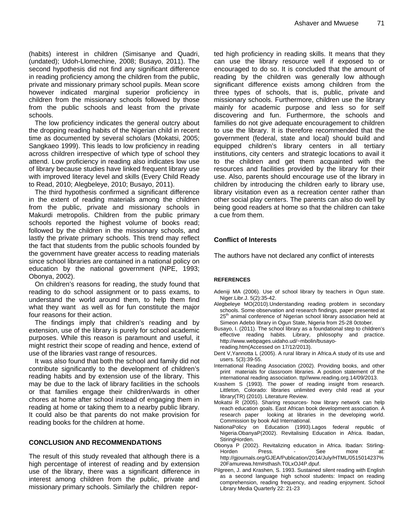(habits) interest in children (Simisanye and Quadri, (undated); Udoh-Llomechine, 2008; Busayo, 2011). The second hypothesis did not find any significant difference in reading proficiency among the children from the public, private and missionary primary school pupils. Mean score however indicated marginal superior proficiency in children from the missionary schools followed by those from the public schools and least from the private schools.

The low proficiency indicates the general outcry about the dropping reading habits of the Nigerian child in recent time as documented by several scholars (Mokatsi, 2005; Sangkaeo 1999). This leads to low proficiency in reading across children irrespective of which type of school they attend. Low proficiency in reading also indicates low use of library because studies have linked frequent library use with improved literacy level and skills (Every Child Ready to Read, 2010; Alegbeleye, 2010; Busayo, 2011).

The third hypothesis confirmed a significant difference in the extent of reading materials among the children from the public, private and missionary schools in Makurdi metropolis. Children from the public primary schools reported the highest volume of books read; followed by the children in the missionary schools, and lastly the private primary schools. This trend may reflect the fact that students from the public schools founded by the government have greater access to reading materials since school libraries are contained in a national policy on education by the national government (NPE, 1993; Obonya, 2002).

On children's reasons for reading, the study found that reading to do school assignment or to pass exams, to understand the world around them, to help them find what they want as well as for fun constitute the major four reasons for their action.

The findings imply that children's reading and by extension, use of the library is purely for school academic purposes. While this reason is paramount and useful, it might restrict their scope of reading and hence, extend of use of the libraries vast range of resources.

It was also found that both the school and family did not contribute significantly to the development of children's reading habits and by extension use of the library. This may be due to the lack of library facilities in the schools or that families engage their children/wards in other chores at home after school instead of engaging them in reading at home or taking them to a nearby public library. It could also be that parents do not make provision for reading books for the children at home.

## **CONCLUSION AND RECOMMENDATIONS**

The result of this study revealed that although there is a high percentage of interest of reading and by extension use of the library, there was a significant difference in interest among children from the public, private and missionary primary schools. Similarly the children reported high proficiency in reading skills. It means that they can use the library resource well if exposed to or encouraged to do so. It is concluded that the amount of reading by the children was generally low although significant difference exists among children from the three types of schools, that is, public, private and missionary schools. Furthermore, children use the library mainly for academic purpose and less so for self discovering and fun. Furthermore, the schools and families do not give adequate encouragement to children to use the library. It is therefore recommended that the government (federal, state and local) should build and equipped children's library centers in all tertiary institutions, city centers and strategic locations to avail it to the children and get them acquainted with the resources and facilities provided by the library for their use. Also, parents should encourage use of the library in children by introducing the children early to library use, library visitation even as a recreation center rather than other social play centers. The parents can also do well by being good readers at home so that the children can take a cue from them.

## **Conflict of Interests**

The authors have not declared any conflict of interests

#### **REFERENCES**

- Adeniji MA (2006). Use of school library by teachers in Ogun state. Niger.Libr.J. 5(2):35-42.
- Alegbeleye MO(2010).Understanding reading problem in secondary schools. Some observation and research findings, paper presented at  $25<sup>th</sup>$  animal conference of Nigerian school library association held at Simeon Adebo library in Ogun State, Nigeria from 25-28 0ctober.
- Busayo, I. (2011). The school library as a foundational step to children's effective reading habits. Library, philosophy and practice. http://www.webpages.uidaho.ud/~mbolin/busayoreading.htm(Accessed on 17/12/2013).
- Dent V,Yannotta L (2005). A rural library in Africa.A study of its use and users. 5(3):39-55.
- International Reading Association (2002). Providing books, and other print materials for classroom libraries. A position statement of the international reading association. ttp//www.reading.org.14/09/2013.
- Krashem S (1993). The power of reading insight from research. Littleton, Colorado: libraries unlimited every child read at your library(TR) (2010). Literature Review.
- Mokatsi R (2005). Sharing resources- how library network can help reach education goals. East African book development association. A research paper looking at libraries in the developing world. Commission by book Aid International.
- NationaPolicy on Education (1993).Lagos federal republic of Nigeria.ObanyaP(2002). Revitalising Education in Africa. Ibadan, StiringHorden.
- Obonya P (2002). Revitalizing education in Africa. Ibadan: Stirling-Horden Press. - See more at: http://gjournals.org/GJEA/Publication/2014/July/HTML/0515014237% 20Famurewa.htm#sthash.T0LxOJ4P.dpuf.
- Pilgreen, J. and Krashen, S. 1993. Sustained silent reading with English as a second language high school students: Impact on reading comprehension, reading frequency, and reading enjoyment. School Library Media Quarterly 22: 21-23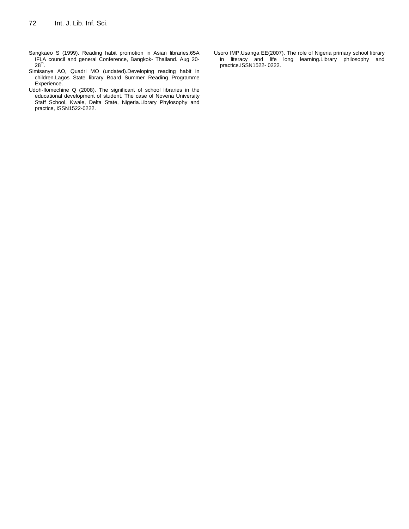- Sangkaeo S (1999). Reading habit promotion in Asian libraries.65A IFLA council and general Conference, Bangkok- Thailand. Aug 20-  $28^{th}$ .
- Simisanye AO, Quadri MO (undated).Developing reading habit in children.Lagos State library Board Summer Reading Programme Experience.
- Udoh-Ilomechine Q (2008). The significant of school libraries in the educational development of student. The case of Novena University Staff School, Kwale, Delta State, Nigeria.Library Phylosophy and practice, ISSN1522-0222.
- Usoro IMP,Usanga EE(2007). The role of Nigeria primary school library in literacy and life long learning.Library philosophy and practice.ISSN1522- 0222.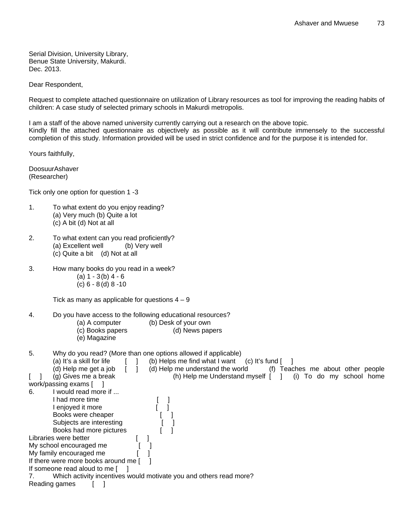Serial Division, University Library, Benue State University, Makurdi. Dec. 2013.

Dear Respondent,

Request to complete attached questionnaire on utilization of Library resources as tool for improving the reading habits of children: A case study of selected primary schools in Makurdi metropolis.

I am a staff of the above named university currently carrying out a research on the above topic. Kindly fill the attached questionnaire as objectively as possible as it will contribute immensely to the successful completion of this study. Information provided will be used in strict confidence and for the purpose it is intended for.

Yours faithfully,

DoosuurAshaver (Researcher)

Tick only one option for question 1 -3

- 1. To what extent do you enjoy reading? (a) Very much (b) Quite a lot (c) A bit (d) Not at all
- 2. To what extent can you read proficiently? (a) Excellent well (b) Very well (c) Quite a bit (d) Not at all
- 3. How many books do you read in a week?
	- $(a) 1 3(b) 4 6$
	- (c) 6 8 (d) 8 -10

Tick as many as applicable for questions  $4 - 9$ 

4. Do you have access to the following educational resources?

- 
- (a) A computer (b) Desk of your own<br>
(c) Books papers (d) News papers (c) Books papers
- (e) Magazine

5. Why do you read? (More than one options allowed if applicable)

(a) It's a skill for life  $\begin{bmatrix} 1 \\ 0 \end{bmatrix}$  (b) Helps me find what I want (c) It's fund  $\begin{bmatrix} 1 \\ 0 \end{bmatrix}$ 

| (d) Help me get a job                | (d) Help me understand the world                                   | (f) | Teaches me about other people |  |                      |  |
|--------------------------------------|--------------------------------------------------------------------|-----|-------------------------------|--|----------------------|--|
| (g) Gives me a break                 | (h) Help me Understand myself $\lceil \quad \rceil$                |     | (i)                           |  | To do my school home |  |
| work/passing exams [                 |                                                                    |     |                               |  |                      |  |
| would read more if<br>6.             |                                                                    |     |                               |  |                      |  |
| had more time                        |                                                                    |     |                               |  |                      |  |
| enjoyed it more                      |                                                                    |     |                               |  |                      |  |
| Books were cheaper                   |                                                                    |     |                               |  |                      |  |
| Subjects are interesting             |                                                                    |     |                               |  |                      |  |
| Books had more pictures              |                                                                    |     |                               |  |                      |  |
| Libraries were better                |                                                                    |     |                               |  |                      |  |
| My school encouraged me              |                                                                    |     |                               |  |                      |  |
| My family encouraged me              |                                                                    |     |                               |  |                      |  |
| If there were more books around me [ |                                                                    |     |                               |  |                      |  |
| If someone read aloud to me [        |                                                                    |     |                               |  |                      |  |
|                                      | Which activity incentives would motivate you and others read more? |     |                               |  |                      |  |
| Reading games                        |                                                                    |     |                               |  |                      |  |